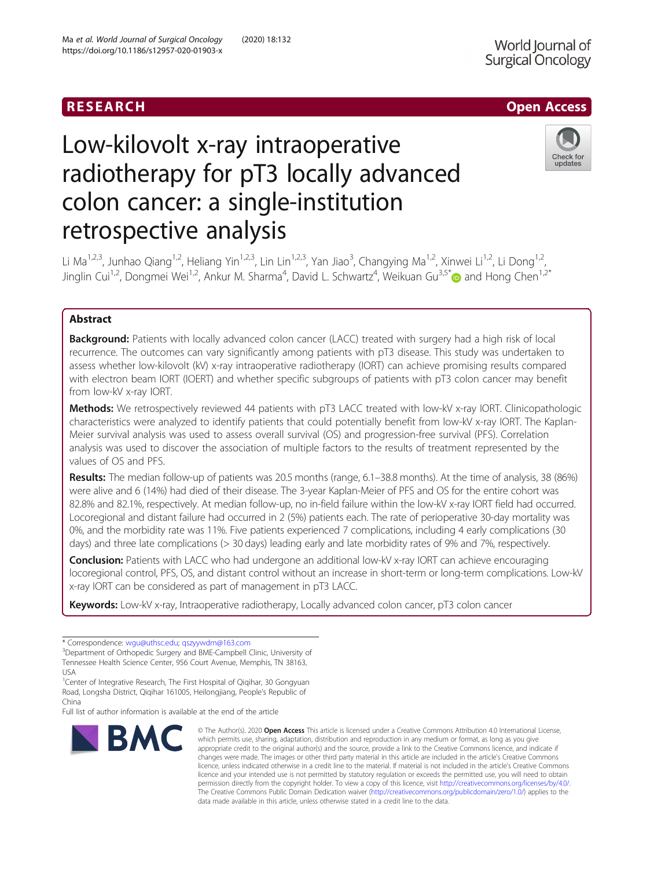## RESEARCH **RESEARCH CHOOSE ACCESS**

# Low-kilovolt x-ray intraoperative radiotherapy for pT3 locally advanced colon cancer: a single-institution retrospective analysis



Li Ma<sup>1,2,3</sup>, Junhao Qiang<sup>1,2</sup>, Heliang Yin<sup>1,2,3</sup>, Lin Lin<sup>1,2,3</sup>, Yan Jiao<sup>3</sup>, Changying Ma<sup>1,2</sup>, Xinwei Li<sup>1,2</sup>, Li Dong<sup>1,2</sup>, Jinglin Cui<sup>1,2</sup>, Dongmei Wei<sup>1,2</sup>, Ankur M. Sharma<sup>4</sup>, David L. Schwartz<sup>4</sup>, Weikuan Gu<sup>3,5[\\*](http://orcid.org/0000-0003-1112-8088)</sup> and Hong Chen<sup>1,2\*</sup>

### Abstract

**Background:** Patients with locally advanced colon cancer (LACC) treated with surgery had a high risk of local recurrence. The outcomes can vary significantly among patients with pT3 disease. This study was undertaken to assess whether low-kilovolt (kV) x-ray intraoperative radiotherapy (IORT) can achieve promising results compared with electron beam IORT (IOERT) and whether specific subgroups of patients with pT3 colon cancer may benefit from low-kV x-ray IORT.

Methods: We retrospectively reviewed 44 patients with pT3 LACC treated with low-kV x-ray IORT. Clinicopathologic characteristics were analyzed to identify patients that could potentially benefit from low-kV x-ray IORT. The Kaplan-Meier survival analysis was used to assess overall survival (OS) and progression-free survival (PFS). Correlation analysis was used to discover the association of multiple factors to the results of treatment represented by the values of OS and PFS.

Results: The median follow-up of patients was 20.5 months (range, 6.1–38.8 months). At the time of analysis, 38 (86%) were alive and 6 (14%) had died of their disease. The 3-year Kaplan-Meier of PFS and OS for the entire cohort was 82.8% and 82.1%, respectively. At median follow-up, no in-field failure within the low-kV x-ray IORT field had occurred. Locoregional and distant failure had occurred in 2 (5%) patients each. The rate of perioperative 30-day mortality was 0%, and the morbidity rate was 11%. Five patients experienced 7 complications, including 4 early complications (30 days) and three late complications (> 30 days) leading early and late morbidity rates of 9% and 7%, respectively.

**Conclusion:** Patients with LACC who had undergone an additional low-kV x-ray IORT can achieve encouraging locoregional control, PFS, OS, and distant control without an increase in short-term or long-term complications. Low-kV x-ray IORT can be considered as part of management in pT3 LACC.

Keywords: Low-kV x-ray, Intraoperative radiotherapy, Locally advanced colon cancer, pT3 colon cancer

Full list of author information is available at the end of the article



<sup>©</sup> The Author(s), 2020 **Open Access** This article is licensed under a Creative Commons Attribution 4.0 International License, which permits use, sharing, adaptation, distribution and reproduction in any medium or format, as long as you give appropriate credit to the original author(s) and the source, provide a link to the Creative Commons licence, and indicate if changes were made. The images or other third party material in this article are included in the article's Creative Commons licence, unless indicated otherwise in a credit line to the material. If material is not included in the article's Creative Commons licence and your intended use is not permitted by statutory regulation or exceeds the permitted use, you will need to obtain permission directly from the copyright holder. To view a copy of this licence, visit [http://creativecommons.org/licenses/by/4.0/.](http://creativecommons.org/licenses/by/4.0/) The Creative Commons Public Domain Dedication waiver [\(http://creativecommons.org/publicdomain/zero/1.0/](http://creativecommons.org/publicdomain/zero/1.0/)) applies to the data made available in this article, unless otherwise stated in a credit line to the data.

<sup>\*</sup> Correspondence: [wgu@uthsc.edu](mailto:wgu@uthsc.edu); [qszyywdm@163.com](mailto:qszyywdm@163.com) <sup>3</sup>

<sup>&</sup>lt;sup>3</sup>Department of Orthopedic Surgery and BME-Campbell Clinic, University of Tennessee Health Science Center, 956 Court Avenue, Memphis, TN 38163, USA

<sup>&</sup>lt;sup>1</sup>Center of Integrative Research, The First Hospital of Qiqihar, 30 Gongyuan Road, Longsha District, Qiqihar 161005, Heilongjiang, People's Republic of China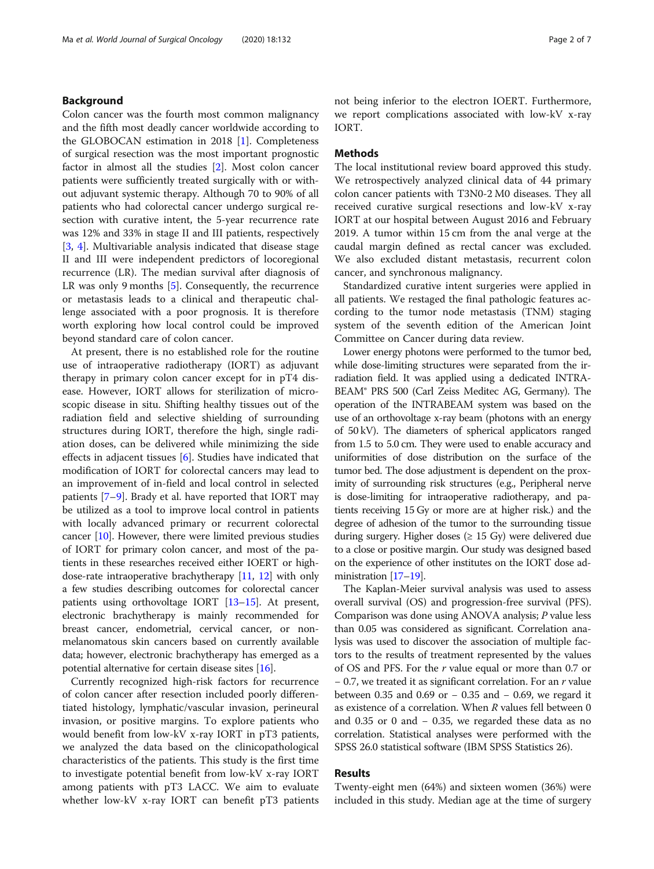#### Background

Colon cancer was the fourth most common malignancy and the fifth most deadly cancer worldwide according to the GLOBOCAN estimation in 2018  $[1]$ . Completeness of surgical resection was the most important prognostic factor in almost all the studies [\[2](#page-5-0)]. Most colon cancer patients were sufficiently treated surgically with or without adjuvant systemic therapy. Although 70 to 90% of all patients who had colorectal cancer undergo surgical resection with curative intent, the 5-year recurrence rate was 12% and 33% in stage II and III patients, respectively [[3,](#page-5-0) [4](#page-5-0)]. Multivariable analysis indicated that disease stage II and III were independent predictors of locoregional recurrence (LR). The median survival after diagnosis of LR was only 9 months [\[5](#page-5-0)]. Consequently, the recurrence or metastasis leads to a clinical and therapeutic challenge associated with a poor prognosis. It is therefore worth exploring how local control could be improved beyond standard care of colon cancer.

At present, there is no established role for the routine use of intraoperative radiotherapy (IORT) as adjuvant therapy in primary colon cancer except for in pT4 disease. However, IORT allows for sterilization of microscopic disease in situ. Shifting healthy tissues out of the radiation field and selective shielding of surrounding structures during IORT, therefore the high, single radiation doses, can be delivered while minimizing the side effects in adjacent tissues [[6](#page-5-0)]. Studies have indicated that modification of IORT for colorectal cancers may lead to an improvement of in-field and local control in selected patients [[7](#page-5-0)–[9\]](#page-5-0). Brady et al. have reported that IORT may be utilized as a tool to improve local control in patients with locally advanced primary or recurrent colorectal cancer [\[10\]](#page-5-0). However, there were limited previous studies of IORT for primary colon cancer, and most of the patients in these researches received either IOERT or highdose-rate intraoperative brachytherapy [\[11,](#page-5-0) [12](#page-5-0)] with only a few studies describing outcomes for colorectal cancer patients using orthovoltage IORT [[13](#page-6-0)–[15\]](#page-6-0). At present, electronic brachytherapy is mainly recommended for breast cancer, endometrial, cervical cancer, or nonmelanomatous skin cancers based on currently available data; however, electronic brachytherapy has emerged as a potential alternative for certain disease sites [\[16](#page-6-0)].

Currently recognized high-risk factors for recurrence of colon cancer after resection included poorly differentiated histology, lymphatic/vascular invasion, perineural invasion, or positive margins. To explore patients who would benefit from low-kV x-ray IORT in pT3 patients, we analyzed the data based on the clinicopathological characteristics of the patients. This study is the first time to investigate potential benefit from low-kV x-ray IORT among patients with pT3 LACC. We aim to evaluate whether low-kV x-ray IORT can benefit pT3 patients not being inferior to the electron IOERT. Furthermore, we report complications associated with low-kV x-ray IORT.

#### **Methods**

The local institutional review board approved this study. We retrospectively analyzed clinical data of 44 primary colon cancer patients with T3N0-2 M0 diseases. They all received curative surgical resections and low-kV x-ray IORT at our hospital between August 2016 and February 2019. A tumor within 15 cm from the anal verge at the caudal margin defined as rectal cancer was excluded. We also excluded distant metastasis, recurrent colon cancer, and synchronous malignancy.

Standardized curative intent surgeries were applied in all patients. We restaged the final pathologic features according to the tumor node metastasis (TNM) staging system of the seventh edition of the American Joint Committee on Cancer during data review.

Lower energy photons were performed to the tumor bed, while dose-limiting structures were separated from the irradiation field. It was applied using a dedicated INTRA-BEAM® PRS 500 (Carl Zeiss Meditec AG, Germany). The operation of the INTRABEAM system was based on the use of an orthovoltage x-ray beam (photons with an energy of 50 kV). The diameters of spherical applicators ranged from 1.5 to 5.0 cm. They were used to enable accuracy and uniformities of dose distribution on the surface of the tumor bed. The dose adjustment is dependent on the proximity of surrounding risk structures (e.g., Peripheral nerve is dose-limiting for intraoperative radiotherapy, and patients receiving 15 Gy or more are at higher risk.) and the degree of adhesion of the tumor to the surrounding tissue during surgery. Higher doses ( $\geq$  15 Gy) were delivered due to a close or positive margin. Our study was designed based on the experience of other institutes on the IORT dose administration [\[17](#page-6-0)–[19\]](#page-6-0).

The Kaplan-Meier survival analysis was used to assess overall survival (OS) and progression-free survival (PFS). Comparison was done using ANOVA analysis; P value less than 0.05 was considered as significant. Correlation analysis was used to discover the association of multiple factors to the results of treatment represented by the values of OS and PFS. For the r value equal or more than 0.7 or − 0.7, we treated it as significant correlation. For an r value between 0.35 and 0.69 or − 0.35 and − 0.69, we regard it as existence of a correlation. When R values fell between 0 and 0.35 or 0 and − 0.35, we regarded these data as no correlation. Statistical analyses were performed with the SPSS 26.0 statistical software (IBM SPSS Statistics 26).

#### Results

Twenty-eight men (64%) and sixteen women (36%) were included in this study. Median age at the time of surgery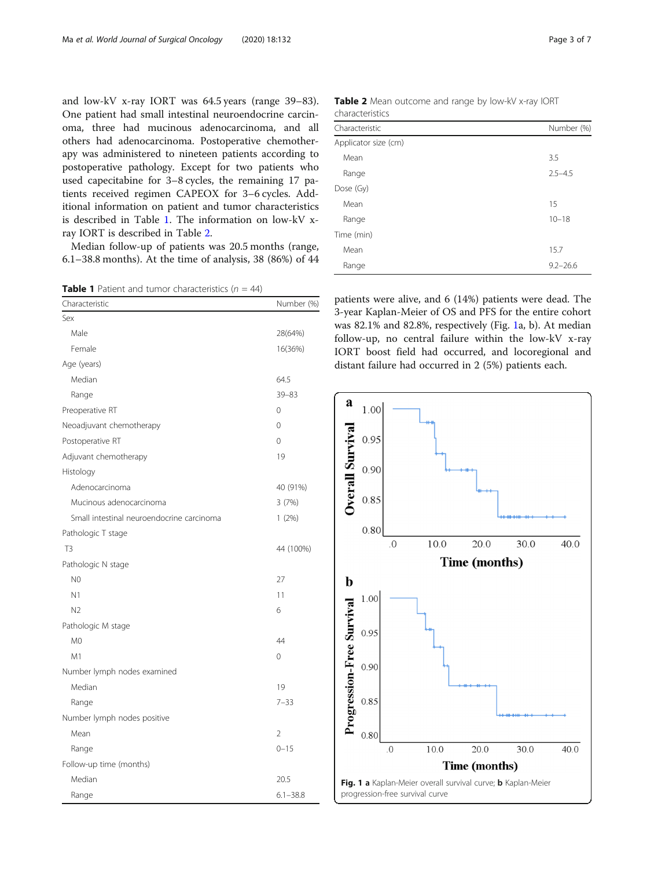and low-kV x-ray IORT was 64.5 years (range 39–83). One patient had small intestinal neuroendocrine carcinoma, three had mucinous adenocarcinoma, and all others had adenocarcinoma. Postoperative chemotherapy was administered to nineteen patients according to postoperative pathology. Except for two patients who used capecitabine for 3–8 cycles, the remaining 17 patients received regimen CAPEOX for 3–6 cycles. Additional information on patient and tumor characteristics is described in Table 1. The information on low-kV xray IORT is described in Table 2.

Median follow-up of patients was 20.5 months (range, 6.1–38.8 months). At the time of analysis, 38 (86%) of 44

**Table 1** Patient and tumor characteristics  $(n = 44)$ 

| Characteristic                            | Number (%)     |
|-------------------------------------------|----------------|
| Sex                                       |                |
| Male                                      | 28(64%)        |
| Female                                    | 16(36%)        |
| Age (years)                               |                |
| Median                                    | 64.5           |
| Range                                     | $39 - 83$      |
| Preoperative RT                           | $\Omega$       |
| Neoadjuvant chemotherapy                  | $\Omega$       |
| Postoperative RT                          | $\Omega$       |
| Adjuvant chemotherapy                     | 19             |
| Histology                                 |                |
| Adenocarcinoma                            | 40 (91%)       |
| Mucinous adenocarcinoma                   | 3(7%)          |
| Small intestinal neuroendocrine carcinoma | 1(2%)          |
| Pathologic T stage                        |                |
| T <sub>3</sub>                            | 44 (100%)      |
| Pathologic N stage                        |                |
| N <sub>0</sub>                            | 27             |
| N <sub>1</sub>                            | 11             |
| N <sub>2</sub>                            | 6              |
| Pathologic M stage                        |                |
| M <sub>0</sub>                            | 44             |
| M1                                        | $\Omega$       |
| Number lymph nodes examined               |                |
| Median                                    | 19             |
| Range                                     | $7 - 33$       |
| Number lymph nodes positive               |                |
| Mean                                      | $\overline{2}$ |
| Range                                     | $0 - 15$       |
| Follow-up time (months)                   |                |
| Median                                    | 20.5           |
| Range                                     | $6.1 - 38.8$   |

Table 2 Mean outcome and range by low-kV x-ray IORT characteristics

| Characteristic       | Number (%)   |
|----------------------|--------------|
| Applicator size (cm) |              |
| Mean                 | 3.5          |
| Range                | $2.5 - 4.5$  |
| Dose (Gy)            |              |
| Mean                 | 15           |
| Range                | $10 - 18$    |
| Time (min)           |              |
| Mean                 | 15.7         |
| Range                | $9.2 - 26.6$ |

patients were alive, and 6 (14%) patients were dead. The 3-year Kaplan-Meier of OS and PFS for the entire cohort was 82.1% and 82.8%, respectively (Fig. 1a, b). At median follow-up, no central failure within the low-kV x-ray IORT boost field had occurred, and locoregional and distant failure had occurred in 2 (5%) patients each.

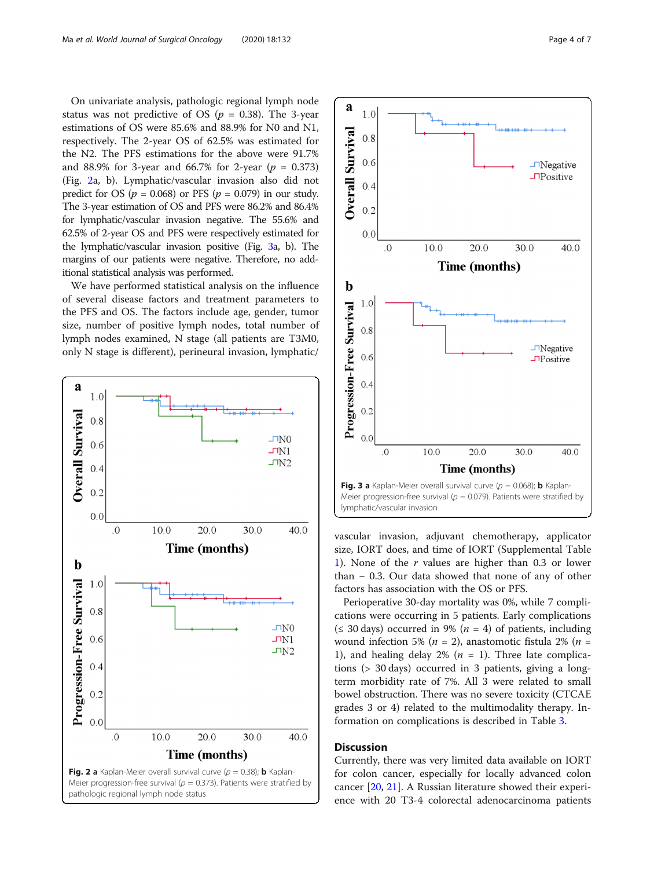On univariate analysis, pathologic regional lymph node status was not predictive of OS ( $p = 0.38$ ). The 3-year estimations of OS were 85.6% and 88.9% for N0 and N1, respectively. The 2-year OS of 62.5% was estimated for the N2. The PFS estimations for the above were 91.7% and 88.9% for 3-year and 66.7% for 2-year ( $p = 0.373$ ) (Fig. 2a, b). Lymphatic/vascular invasion also did not predict for OS ( $p = 0.068$ ) or PFS ( $p = 0.079$ ) in our study. The 3-year estimation of OS and PFS were 86.2% and 86.4% for lymphatic/vascular invasion negative. The 55.6% and 62.5% of 2-year OS and PFS were respectively estimated for the lymphatic/vascular invasion positive (Fig. 3a, b). The margins of our patients were negative. Therefore, no additional statistical analysis was performed.

We have performed statistical analysis on the influence of several disease factors and treatment parameters to the PFS and OS. The factors include age, gender, tumor size, number of positive lymph nodes, total number of lymph nodes examined, N stage (all patients are T3M0, only N stage is different), perineural invasion, lymphatic/





vascular invasion, adjuvant chemotherapy, applicator size, IORT does, and time of IORT (Supplemental Table [1\)](#page-5-0). None of the  $r$  values are higher than 0.3 or lower than − 0.3. Our data showed that none of any of other factors has association with the OS or PFS.

Perioperative 30-day mortality was 0%, while 7 complications were occurring in 5 patients. Early complications ( $\leq$  30 days) occurred in 9% ( $n = 4$ ) of patients, including wound infection 5% ( $n = 2$ ), anastomotic fistula 2% ( $n =$ 1), and healing delay 2% ( $n = 1$ ). Three late complications (> 30 days) occurred in 3 patients, giving a longterm morbidity rate of 7%. All 3 were related to small bowel obstruction. There was no severe toxicity (CTCAE grades 3 or 4) related to the multimodality therapy. Information on complications is described in Table [3](#page-4-0).

#### **Discussion**

Currently, there was very limited data available on IORT for colon cancer, especially for locally advanced colon cancer [\[20](#page-6-0), [21](#page-6-0)]. A Russian literature showed their experience with 20 T3-4 colorectal adenocarcinoma patients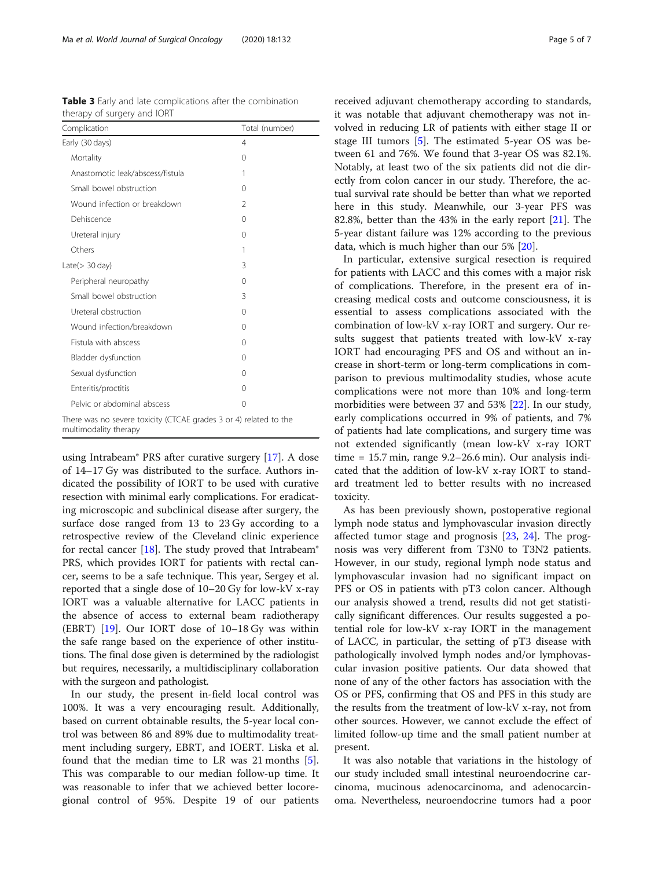| Complication                                                                               | Total (number) |
|--------------------------------------------------------------------------------------------|----------------|
| Early (30 days)                                                                            | 4              |
| Mortality                                                                                  | 0              |
| Anastomotic leak/abscess/fistula                                                           | 1              |
| Small bowel obstruction                                                                    | 0              |
| Wound infection or breakdown                                                               | $\mathfrak{D}$ |
| Dehiscence                                                                                 | 0              |
| Ureteral injury                                                                            | 0              |
| Others                                                                                     | 1              |
| Late $($ > 30 day)                                                                         | 3              |
| Peripheral neuropathy                                                                      | 0              |
| Small bowel obstruction                                                                    | 3              |
| Ureteral obstruction                                                                       | 0              |
| Wound infection/breakdown                                                                  | 0              |
| Fistula with abscess                                                                       | 0              |
| Bladder dysfunction                                                                        | 0              |
| Sexual dysfunction                                                                         | 0              |
| Enteritis/proctitis                                                                        | 0              |
| Pelvic or abdominal abscess                                                                | $\Omega$       |
| There was no severe toxicity (CTCAE grades 3 or 4) related to the<br>multimodality therapy |                |

<span id="page-4-0"></span>Table 3 Early and late complications after the combination therapy of surgery and IORT

using Intrabeam® PRS after curative surgery [\[17](#page-6-0)]. A dose of 14–17 Gy was distributed to the surface. Authors indicated the possibility of IORT to be used with curative resection with minimal early complications. For eradicating microscopic and subclinical disease after surgery, the surface dose ranged from 13 to 23 Gy according to a retrospective review of the Cleveland clinic experience for rectal cancer  $[18]$ . The study proved that Intrabeam® PRS, which provides IORT for patients with rectal cancer, seems to be a safe technique. This year, Sergey et al. reported that a single dose of 10–20 Gy for low-kV x-ray IORT was a valuable alternative for LACC patients in the absence of access to external beam radiotherapy (EBRT) [[19\]](#page-6-0). Our IORT dose of 10–18 Gy was within the safe range based on the experience of other institutions. The final dose given is determined by the radiologist but requires, necessarily, a multidisciplinary collaboration with the surgeon and pathologist.

In our study, the present in-field local control was 100%. It was a very encouraging result. Additionally, based on current obtainable results, the 5-year local control was between 86 and 89% due to multimodality treatment including surgery, EBRT, and IOERT. Liska et al. found that the median time to LR was 21 months [\[5](#page-5-0)]. This was comparable to our median follow-up time. It was reasonable to infer that we achieved better locoregional control of 95%. Despite 19 of our patients

received adjuvant chemotherapy according to standards, it was notable that adjuvant chemotherapy was not involved in reducing LR of patients with either stage II or stage III tumors [\[5](#page-5-0)]. The estimated 5-year OS was between 61 and 76%. We found that 3-year OS was 82.1%. Notably, at least two of the six patients did not die directly from colon cancer in our study. Therefore, the actual survival rate should be better than what we reported here in this study. Meanwhile, our 3-year PFS was 82.8%, better than the 43% in the early report [[21](#page-6-0)]. The 5-year distant failure was 12% according to the previous data, which is much higher than our 5% [[20\]](#page-6-0).

In particular, extensive surgical resection is required for patients with LACC and this comes with a major risk of complications. Therefore, in the present era of increasing medical costs and outcome consciousness, it is essential to assess complications associated with the combination of low-kV x-ray IORT and surgery. Our results suggest that patients treated with low-kV x-ray IORT had encouraging PFS and OS and without an increase in short-term or long-term complications in comparison to previous multimodality studies, whose acute complications were not more than 10% and long-term morbidities were between 37 and 53% [\[22](#page-6-0)]. In our study, early complications occurred in 9% of patients, and 7% of patients had late complications, and surgery time was not extended significantly (mean low-kV x-ray IORT time  $= 15.7$  min, range  $9.2 - 26.6$  min). Our analysis indicated that the addition of low-kV x-ray IORT to standard treatment led to better results with no increased toxicity.

As has been previously shown, postoperative regional lymph node status and lymphovascular invasion directly affected tumor stage and prognosis [[23](#page-6-0), [24](#page-6-0)]. The prognosis was very different from T3N0 to T3N2 patients. However, in our study, regional lymph node status and lymphovascular invasion had no significant impact on PFS or OS in patients with pT3 colon cancer. Although our analysis showed a trend, results did not get statistically significant differences. Our results suggested a potential role for low-kV x-ray IORT in the management of LACC, in particular, the setting of pT3 disease with pathologically involved lymph nodes and/or lymphovascular invasion positive patients. Our data showed that none of any of the other factors has association with the OS or PFS, confirming that OS and PFS in this study are the results from the treatment of low-kV x-ray, not from other sources. However, we cannot exclude the effect of limited follow-up time and the small patient number at present.

It was also notable that variations in the histology of our study included small intestinal neuroendocrine carcinoma, mucinous adenocarcinoma, and adenocarcinoma. Nevertheless, neuroendocrine tumors had a poor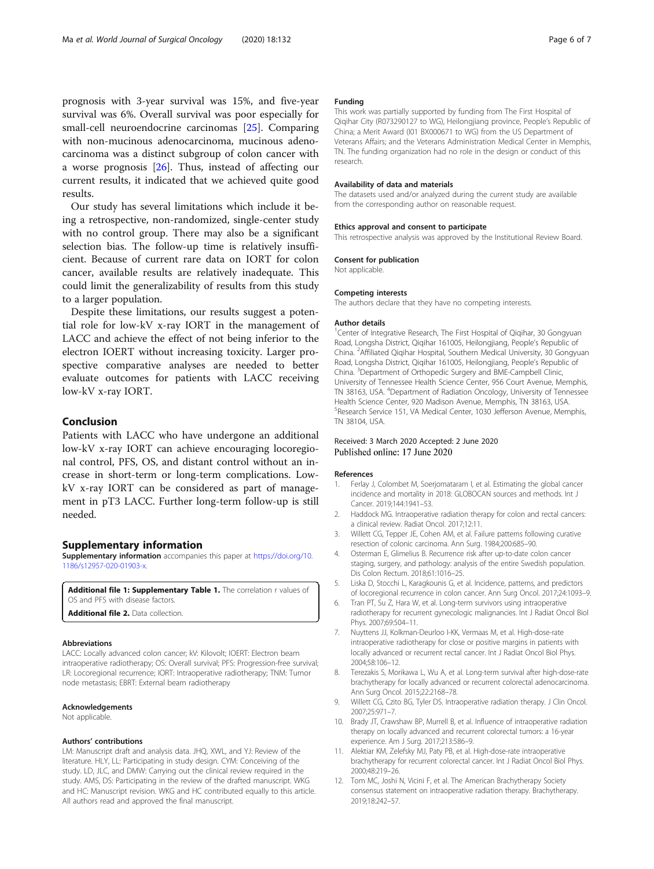<span id="page-5-0"></span>prognosis with 3-year survival was 15%, and five-year survival was 6%. Overall survival was poor especially for small-cell neuroendocrine carcinomas [[25](#page-6-0)]. Comparing with non-mucinous adenocarcinoma, mucinous adenocarcinoma was a distinct subgroup of colon cancer with a worse prognosis  $[26]$ . Thus, instead of affecting our current results, it indicated that we achieved quite good results.

Our study has several limitations which include it being a retrospective, non-randomized, single-center study with no control group. There may also be a significant selection bias. The follow-up time is relatively insufficient. Because of current rare data on IORT for colon cancer, available results are relatively inadequate. This could limit the generalizability of results from this study to a larger population.

Despite these limitations, our results suggest a potential role for low-kV x-ray IORT in the management of LACC and achieve the effect of not being inferior to the electron IOERT without increasing toxicity. Larger prospective comparative analyses are needed to better evaluate outcomes for patients with LACC receiving low-kV x-ray IORT.

#### Conclusion

Patients with LACC who have undergone an additional low-kV x-ray IORT can achieve encouraging locoregional control, PFS, OS, and distant control without an increase in short-term or long-term complications. LowkV x-ray IORT can be considered as part of management in pT3 LACC. Further long-term follow-up is still needed.

#### Supplementary information

Supplementary information accompanies this paper at [https://doi.org/10.](https://doi.org/10.1186/s12957-020-01903-x) [1186/s12957-020-01903-x.](https://doi.org/10.1186/s12957-020-01903-x)

Additional file 1: Supplementary Table 1. The correlation r values of OS and PFS with disease factors.

Additional file 2. Data collection.

#### Abbreviations

LACC: Locally advanced colon cancer; kV: Kilovolt; IOERT: Electron beam intraoperative radiotherapy; OS: Overall survival; PFS: Progression-free survival; LR: Locoregional recurrence; IORT: Intraoperative radiotherapy; TNM: Tumor node metastasis; EBRT: External beam radiotherapy

#### Acknowledgements

Not applicable.

#### Authors' contributions

LM: Manuscript draft and analysis data. JHQ, XWL, and YJ: Review of the literature. HLY, LL: Participating in study design. CYM: Conceiving of the study. LD, JLC, and DMW: Carrying out the clinical review required in the study. AMS, DS: Participating in the review of the drafted manuscript. WKG and HC: Manuscript revision. WKG and HC contributed equally to this article. All authors read and approved the final manuscript.

#### Funding

This work was partially supported by funding from The First Hospital of Qiqihar City (R073290127 to WG), Heilongjiang province, People's Republic of China; a Merit Award (I01 BX000671 to WG) from the US Department of Veterans Affairs; and the Veterans Administration Medical Center in Memphis, TN. The funding organization had no role in the design or conduct of this research.

#### Availability of data and materials

The datasets used and/or analyzed during the current study are available from the corresponding author on reasonable request.

#### Ethics approval and consent to participate

This retrospective analysis was approved by the Institutional Review Board.

#### Consent for publication

Not applicable.

#### Competing interests

The authors declare that they have no competing interests.

#### Author details

<sup>1</sup> Center of Integrative Research, The First Hospital of Qiqihar, 30 Gongyuan Road, Longsha District, Qiqihar 161005, Heilongjiang, People's Republic of China. <sup>2</sup> Affiliated Qiqihar Hospital, Southern Medical University, 30 Gongyuan Road, Longsha District, Qiqihar 161005, Heilongjiang, People's Republic of China. <sup>3</sup> Department of Orthopedic Surgery and BME-Campbell Clinic, University of Tennessee Health Science Center, 956 Court Avenue, Memphis, TN 38163, USA. <sup>4</sup>Department of Radiation Oncology, University of Tennessee Health Science Center, 920 Madison Avenue, Memphis, TN 38163, USA. 5 Research Service 151, VA Medical Center, 1030 Jefferson Avenue, Memphis, TN 38104, USA.

#### Received: 3 March 2020 Accepted: 2 June 2020 Published online: 17 June 2020

#### References

- 1. Ferlay J, Colombet M, Soerjomataram I, et al. Estimating the global cancer incidence and mortality in 2018: GLOBOCAN sources and methods. Int J Cancer. 2019;144:1941–53.
- 2. Haddock MG. Intraoperative radiation therapy for colon and rectal cancers: a clinical review. Radiat Oncol. 2017;12:11.
- 3. Willett CG, Tepper JE, Cohen AM, et al. Failure patterns following curative resection of colonic carcinoma. Ann Surg. 1984;200:685–90.
- 4. Osterman E, Glimelius B. Recurrence risk after up-to-date colon cancer staging, surgery, and pathology: analysis of the entire Swedish population. Dis Colon Rectum. 2018;61:1016–25.
- 5. Liska D, Stocchi L, Karagkounis G, et al. Incidence, patterns, and predictors of locoregional recurrence in colon cancer. Ann Surg Oncol. 2017;24:1093–9.
- 6. Tran PT, Su Z, Hara W, et al. Long-term survivors using intraoperative radiotherapy for recurrent gynecologic malignancies. Int J Radiat Oncol Biol Phys. 2007;69:504–11.
- 7. Nuyttens JJ, Kolkman-Deurloo I-KK, Vermaas M, et al. High-dose-rate intraoperative radiotherapy for close or positive margins in patients with locally advanced or recurrent rectal cancer. Int J Radiat Oncol Biol Phys. 2004;58:106–12.
- Terezakis S, Morikawa L, Wu A, et al. Long-term survival after high-dose-rate brachytherapy for locally advanced or recurrent colorectal adenocarcinoma. Ann Surg Oncol. 2015;22:2168–78.
- 9. Willett CG, Czito BG, Tyler DS. Intraoperative radiation therapy. J Clin Oncol. 2007;25:971–7.
- 10. Brady JT, Crawshaw BP, Murrell B, et al. Influence of intraoperative radiation therapy on locally advanced and recurrent colorectal tumors: a 16-year experience. Am J Surg. 2017;213:586–9.
- 11. Alektiar KM, Zelefsky MJ, Paty PB, et al. High-dose-rate intraoperative brachytherapy for recurrent colorectal cancer. Int J Radiat Oncol Biol Phys. 2000;48:219–26.
- 12. Tom MC, Joshi N, Vicini F, et al. The American Brachytherapy Society consensus statement on intraoperative radiation therapy. Brachytherapy. 2019;18:242–57.